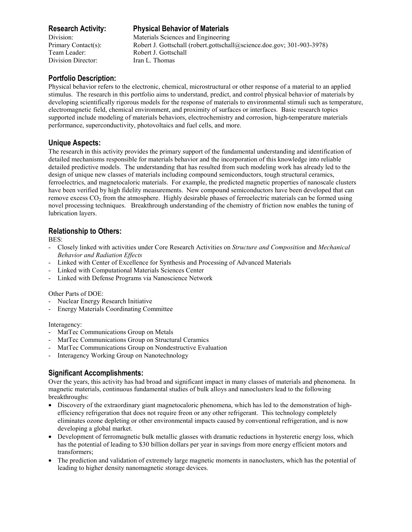Division Director: Iran L. Thomas

# **Research Activity: Physical Behavior of Materials**

Division: Materials Sciences and Engineering Primary Contact(s): Robert J. Gottschall (robert.gottschall@science.doe.gov; 301-903-3978) Team Leader: Robert J. Gottschall

## **Portfolio Description:**

Physical behavior refers to the electronic, chemical, microstructural or other response of a material to an applied stimulus. The research in this portfolio aims to understand, predict, and control physical behavior of materials by developing scientifically rigorous models for the response of materials to environmental stimuli such as temperature, electromagnetic field, chemical environment, and proximity of surfaces or interfaces. Basic research topics supported include modeling of materials behaviors, electrochemistry and corrosion, high-temperature materials performance, superconductivity, photovoltaics and fuel cells, and more.

## **Unique Aspects:**

The research in this activity provides the primary support of the fundamental understanding and identification of detailed mechanisms responsible for materials behavior and the incorporation of this knowledge into reliable detailed predictive models. The understanding that has resulted from such modeling work has already led to the design of unique new classes of materials including compound semiconductors, tough structural ceramics, ferroelectrics, and magnetocaloric materials. For example, the predicted magnetic properties of nanoscale clusters have been verified by high fidelity measurements. New compound semiconductors have been developed that can remove excess  $CO<sub>2</sub>$  from the atmosphere. Highly desirable phases of ferroelectric materials can be formed using novel processing techniques. Breakthrough understanding of the chemistry of friction now enables the tuning of lubrication layers.

# **Relationship to Others:**

BES:

- Closely linked with activities under Core Research Activities on *Structure and Composition* and *Mechanical Behavior and Radiation Effects*
- Linked with Center of Excellence for Synthesis and Processing of Advanced Materials
- Linked with Computational Materials Sciences Center
- Linked with Defense Programs via Nanoscience Network

## Other Parts of DOE:

- Nuclear Energy Research Initiative
- Energy Materials Coordinating Committee

#### Interagency:

- MatTec Communications Group on Metals
- MatTec Communications Group on Structural Ceramics
- MatTec Communications Group on Nondestructive Evaluation
- Interagency Working Group on Nanotechnology

# **Significant Accomplishments:**

Over the years, this activity has had broad and significant impact in many classes of materials and phenomena. In magnetic materials, continuous fundamental studies of bulk alloys and nanoclusters lead to the following breakthroughs:

- Discovery of the extraordinary giant magnetocaloric phenomena, which has led to the demonstration of highefficiency refrigeration that does not require freon or any other refrigerant. This technology completely eliminates ozone depleting or other environmental impacts caused by conventional refrigeration, and is now developing a global market.
- Development of ferromagnetic bulk metallic glasses with dramatic reductions in hysteretic energy loss, which has the potential of leading to \$30 billion dollars per year in savings from more energy efficient motors and transformers;
- The prediction and validation of extremely large magnetic moments in nanoclusters, which has the potential of leading to higher density nanomagnetic storage devices.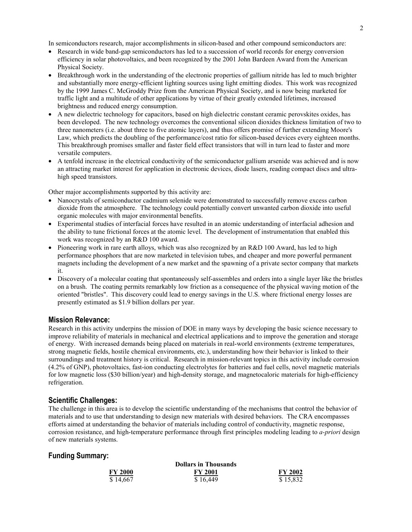In semiconductors research, major accomplishments in silicon-based and other compound semiconductors are:

- Research in wide band-gap semiconductors has led to a succession of world records for energy conversion efficiency in solar photovoltaics, and been recognized by the 2001 John Bardeen Award from the American Physical Society.
- Breakthrough work in the understanding of the electronic properties of gallium nitride has led to much brighter and substantially more energy-efficient lighting sources using light emitting diodes. This work was recognized by the 1999 James C. McGroddy Prize from the American Physical Society, and is now being marketed for traffic light and a multitude of other applications by virtue of their greatly extended lifetimes, increased brightness and reduced energy consumption.
- A new dielectric technology for capacitors, based on high dielectric constant ceramic perovskites oxides, has been developed. The new technology overcomes the conventional silicon dioxides thickness limitation of two to three nanometers (i.e. about three to five atomic layers), and thus offers promise of further extending Moore's Law, which predicts the doubling of the performance/cost ratio for silicon-based devices every eighteen months. This breakthrough promises smaller and faster field effect transistors that will in turn lead to faster and more versatile computers.
- A tenfold increase in the electrical conductivity of the semiconductor gallium arsenide was achieved and is now an attracting market interest for application in electronic devices, diode lasers, reading compact discs and ultrahigh speed transistors.

Other major accomplishments supported by this activity are:

- Nanocrystals of semiconductor cadmium selenide were demonstrated to successfully remove excess carbon dioxide from the atmosphere. The technology could potentially convert unwanted carbon dioxide into useful organic molecules with major environmental benefits.
- Experimental studies of interfacial forces have resulted in an atomic understanding of interfacial adhesion and the ability to tune frictional forces at the atomic level. The development of instrumentation that enabled this work was recognized by an R&D 100 award.
- Pioneering work in rare earth alloys, which was also recognized by an R&D 100 Award, has led to high performance phosphors that are now marketed in television tubes, and cheaper and more powerful permanent magnets including the development of a new market and the spawning of a private sector company that markets it.
- Discovery of a molecular coating that spontaneously self-assembles and orders into a single layer like the bristles on a brush. The coating permits remarkably low friction as a consequence of the physical waving motion of the oriented "bristles". This discovery could lead to energy savings in the U.S. where frictional energy losses are presently estimated as \$1.9 billion dollars per year.

#### **Mission Relevance:**

Research in this activity underpins the mission of DOE in many ways by developing the basic science necessary to improve reliability of materials in mechanical and electrical applications and to improve the generation and storage of energy. With increased demands being placed on materials in real-world environments (extreme temperatures, strong magnetic fields, hostile chemical environments, etc.), understanding how their behavior is linked to their surroundings and treatment history is critical. Research in mission-relevant topics in this activity include corrosion (4.2% of GNP), photovoltaics, fast-ion conducting electrolytes for batteries and fuel cells, novel magnetic materials for low magnetic loss (\$30 billion/year) and high-density storage, and magnetocaloric materials for high-efficiency refrigeration.

#### **Scientific Challenges:**

The challenge in this area is to develop the scientific understanding of the mechanisms that control the behavior of materials and to use that understanding to design new materials with desired behaviors. The CRA encompasses efforts aimed at understanding the behavior of materials including control of conductivity, magnetic response, corrosion resistance, and high-temperature performance through first principles modeling leading to *a-priori* design of new materials systems.

### **Funding Summary:**

| <b>FY 2000</b> | <b>FY 2001</b> | <b>FY 2002</b> |
|----------------|----------------|----------------|
| \$14,667       | \$16,449       | \$15,832       |